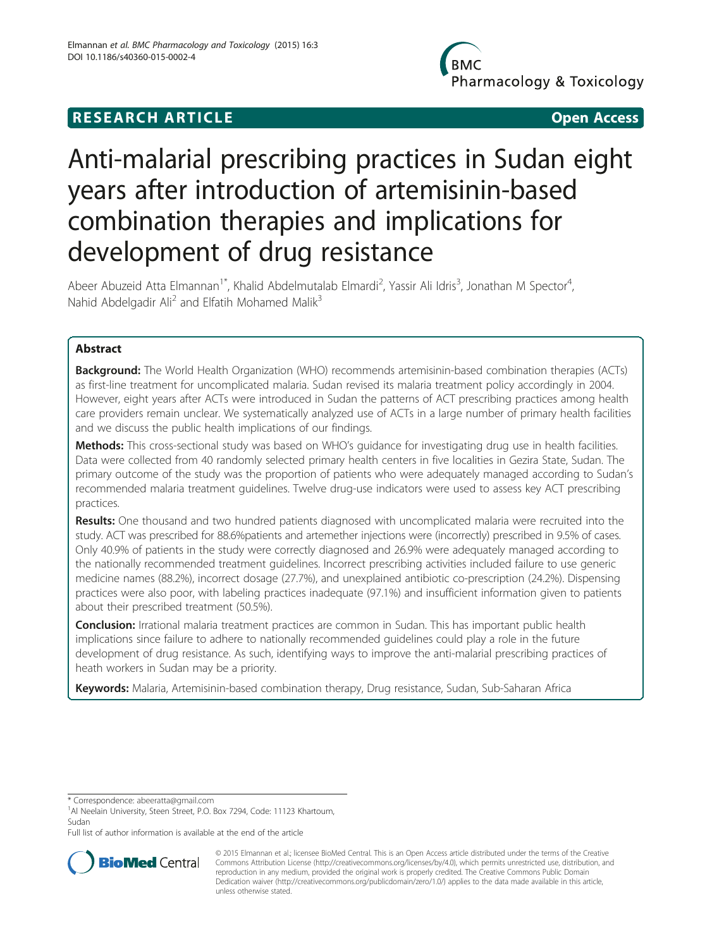# **RESEARCH ARTICLE CONSUMING A RESEARCH ARTICLE**

Pharmacology & Toxicology

# Anti-malarial prescribing practices in Sudan eight years after introduction of artemisinin-based combination therapies and implications for development of drug resistance

Abeer Abuzeid Atta Elmannan<sup>1\*</sup>, Khalid Abdelmutalab Elmardi<sup>2</sup>, Yassir Ali Idris<sup>3</sup>, Jonathan M Spector<sup>4</sup> , Nahid Abdelgadir Ali<sup>2</sup> and Elfatih Mohamed Malik<sup>3</sup>

# Abstract

Background: The World Health Organization (WHO) recommends artemisinin-based combination therapies (ACTs) as first-line treatment for uncomplicated malaria. Sudan revised its malaria treatment policy accordingly in 2004. However, eight years after ACTs were introduced in Sudan the patterns of ACT prescribing practices among health care providers remain unclear. We systematically analyzed use of ACTs in a large number of primary health facilities and we discuss the public health implications of our findings.

Methods: This cross-sectional study was based on WHO's quidance for investigating drug use in health facilities. Data were collected from 40 randomly selected primary health centers in five localities in Gezira State, Sudan. The primary outcome of the study was the proportion of patients who were adequately managed according to Sudan's recommended malaria treatment guidelines. Twelve drug-use indicators were used to assess key ACT prescribing practices.

Results: One thousand and two hundred patients diagnosed with uncomplicated malaria were recruited into the study. ACT was prescribed for 88.6%patients and artemether injections were (incorrectly) prescribed in 9.5% of cases. Only 40.9% of patients in the study were correctly diagnosed and 26.9% were adequately managed according to the nationally recommended treatment guidelines. Incorrect prescribing activities included failure to use generic medicine names (88.2%), incorrect dosage (27.7%), and unexplained antibiotic co-prescription (24.2%). Dispensing practices were also poor, with labeling practices inadequate (97.1%) and insufficient information given to patients about their prescribed treatment (50.5%).

**Conclusion:** Irrational malaria treatment practices are common in Sudan. This has important public health implications since failure to adhere to nationally recommended guidelines could play a role in the future development of drug resistance. As such, identifying ways to improve the anti-malarial prescribing practices of heath workers in Sudan may be a priority.

Keywords: Malaria, Artemisinin-based combination therapy, Drug resistance, Sudan, Sub-Saharan Africa

\* Correspondence: [abeeratta@gmail.com](mailto:abeeratta@gmail.com) <sup>1</sup>

<sup>1</sup>Al Neelain University, Steen Street, P.O. Box 7294, Code: 11123 Khartoum, Sudan

Full list of author information is available at the end of the article



© 2015 Elmannan et al.; licensee BioMed Central. This is an Open Access article distributed under the terms of the Creative Commons Attribution License [\(http://creativecommons.org/licenses/by/4.0\)](http://creativecommons.org/licenses/by/4.0), which permits unrestricted use, distribution, and reproduction in any medium, provided the original work is properly credited. The Creative Commons Public Domain Dedication waiver [\(http://creativecommons.org/publicdomain/zero/1.0/](http://creativecommons.org/publicdomain/zero/1.0/)) applies to the data made available in this article, unless otherwise stated.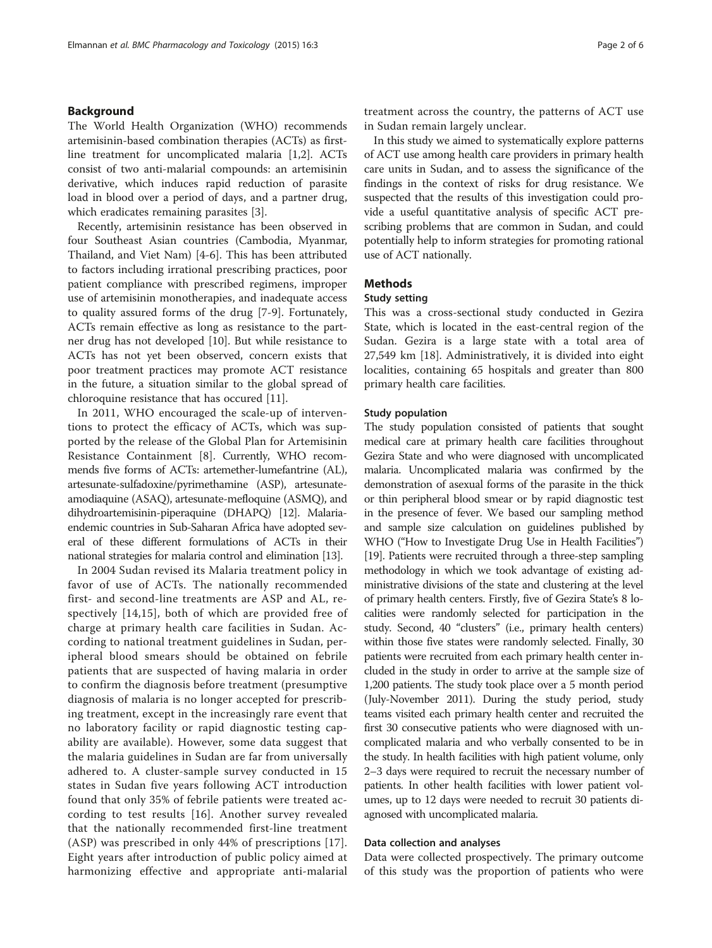#### Background

The World Health Organization (WHO) recommends artemisinin-based combination therapies (ACTs) as firstline treatment for uncomplicated malaria [[1](#page-5-0),[2](#page-5-0)]. ACTs consist of two anti-malarial compounds: an artemisinin derivative, which induces rapid reduction of parasite load in blood over a period of days, and a partner drug, which eradicates remaining parasites [\[3](#page-5-0)].

Recently, artemisinin resistance has been observed in four Southeast Asian countries (Cambodia, Myanmar, Thailand, and Viet Nam) [\[4-6](#page-5-0)]. This has been attributed to factors including irrational prescribing practices, poor patient compliance with prescribed regimens, improper use of artemisinin monotherapies, and inadequate access to quality assured forms of the drug [[7-9](#page-5-0)]. Fortunately, ACTs remain effective as long as resistance to the partner drug has not developed [[10](#page-5-0)]. But while resistance to ACTs has not yet been observed, concern exists that poor treatment practices may promote ACT resistance in the future, a situation similar to the global spread of chloroquine resistance that has occured [[11\]](#page-5-0).

In 2011, WHO encouraged the scale-up of interventions to protect the efficacy of ACTs, which was supported by the release of the Global Plan for Artemisinin Resistance Containment [[8\]](#page-5-0). Currently, WHO recommends five forms of ACTs: artemether-lumefantrine (AL), artesunate-sulfadoxine/pyrimethamine (ASP), artesunateamodiaquine (ASAQ), artesunate-mefloquine (ASMQ), and dihydroartemisinin-piperaquine (DHAPQ) [\[12\]](#page-5-0). Malariaendemic countries in Sub-Saharan Africa have adopted several of these different formulations of ACTs in their national strategies for malaria control and elimination [[13\]](#page-5-0).

In 2004 Sudan revised its Malaria treatment policy in favor of use of ACTs. The nationally recommended first- and second-line treatments are ASP and AL, respectively [[14,15](#page-5-0)], both of which are provided free of charge at primary health care facilities in Sudan. According to national treatment guidelines in Sudan, peripheral blood smears should be obtained on febrile patients that are suspected of having malaria in order to confirm the diagnosis before treatment (presumptive diagnosis of malaria is no longer accepted for prescribing treatment, except in the increasingly rare event that no laboratory facility or rapid diagnostic testing capability are available). However, some data suggest that the malaria guidelines in Sudan are far from universally adhered to. A cluster-sample survey conducted in 15 states in Sudan five years following ACT introduction found that only 35% of febrile patients were treated according to test results [[16](#page-5-0)]. Another survey revealed that the nationally recommended first-line treatment (ASP) was prescribed in only 44% of prescriptions [[17](#page-5-0)]. Eight years after introduction of public policy aimed at harmonizing effective and appropriate anti-malarial

treatment across the country, the patterns of ACT use in Sudan remain largely unclear.

In this study we aimed to systematically explore patterns of ACT use among health care providers in primary health care units in Sudan, and to assess the significance of the findings in the context of risks for drug resistance. We suspected that the results of this investigation could provide a useful quantitative analysis of specific ACT prescribing problems that are common in Sudan, and could potentially help to inform strategies for promoting rational use of ACT nationally.

#### Methods

# Study setting

This was a cross-sectional study conducted in Gezira State, which is located in the east-central region of the Sudan. Gezira is a large state with a total area of 27,549 km [[18](#page-5-0)]. Administratively, it is divided into eight localities, containing 65 hospitals and greater than 800 primary health care facilities.

#### Study population

The study population consisted of patients that sought medical care at primary health care facilities throughout Gezira State and who were diagnosed with uncomplicated malaria. Uncomplicated malaria was confirmed by the demonstration of asexual forms of the parasite in the thick or thin peripheral blood smear or by rapid diagnostic test in the presence of fever. We based our sampling method and sample size calculation on guidelines published by WHO ("How to Investigate Drug Use in Health Facilities") [[19](#page-5-0)]. Patients were recruited through a three-step sampling methodology in which we took advantage of existing administrative divisions of the state and clustering at the level of primary health centers. Firstly, five of Gezira State's 8 localities were randomly selected for participation in the study. Second, 40 "clusters" (i.e., primary health centers) within those five states were randomly selected. Finally, 30 patients were recruited from each primary health center included in the study in order to arrive at the sample size of 1,200 patients. The study took place over a 5 month period (July-November 2011). During the study period, study teams visited each primary health center and recruited the first 30 consecutive patients who were diagnosed with uncomplicated malaria and who verbally consented to be in the study. In health facilities with high patient volume, only 2–3 days were required to recruit the necessary number of patients. In other health facilities with lower patient volumes, up to 12 days were needed to recruit 30 patients diagnosed with uncomplicated malaria.

#### Data collection and analyses

Data were collected prospectively. The primary outcome of this study was the proportion of patients who were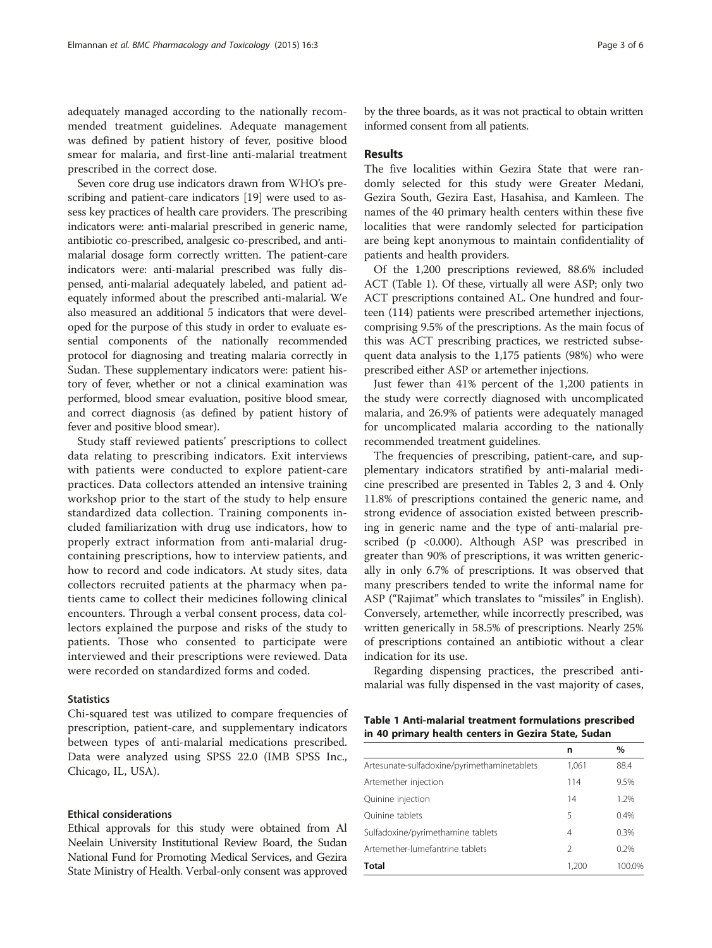adequately managed according to the nationally recommended treatment guidelines. Adequate management was defined by patient history of fever, positive blood smear for malaria, and first-line anti-malarial treatment prescribed in the correct dose.

Seven core drug use indicators drawn from WHO's prescribing and patient-care indicators [[19](#page-5-0)] were used to assess key practices of health care providers. The prescribing indicators were: anti-malarial prescribed in generic name, antibiotic co-prescribed, analgesic co-prescribed, and antimalarial dosage form correctly written. The patient-care indicators were: anti-malarial prescribed was fully dispensed, anti-malarial adequately labeled, and patient adequately informed about the prescribed anti-malarial. We also measured an additional 5 indicators that were developed for the purpose of this study in order to evaluate essential components of the nationally recommended protocol for diagnosing and treating malaria correctly in Sudan. These supplementary indicators were: patient history of fever, whether or not a clinical examination was performed, blood smear evaluation, positive blood smear, and correct diagnosis (as defined by patient history of fever and positive blood smear).

Study staff reviewed patients' prescriptions to collect data relating to prescribing indicators. Exit interviews with patients were conducted to explore patient-care practices. Data collectors attended an intensive training workshop prior to the start of the study to help ensure standardized data collection. Training components included familiarization with drug use indicators, how to properly extract information from anti-malarial drugcontaining prescriptions, how to interview patients, and how to record and code indicators. At study sites, data collectors recruited patients at the pharmacy when patients came to collect their medicines following clinical encounters. Through a verbal consent process, data collectors explained the purpose and risks of the study to patients. Those who consented to participate were interviewed and their prescriptions were reviewed. Data were recorded on standardized forms and coded.

### **Statistics**

Chi-squared test was utilized to compare frequencies of prescription, patient-care, and supplementary indicators between types of anti-malarial medications prescribed. Data were analyzed using SPSS 22.0 (IMB SPSS Inc., Chicago, IL, USA).

## Ethical considerations

Ethical approvals for this study were obtained from Al Neelain University Institutional Review Board, the Sudan National Fund for Promoting Medical Services, and Gezira State Ministry of Health. Verbal-only consent was approved

by the three boards, as it was not practical to obtain written informed consent from all patients.

# Results

The five localities within Gezira State that were randomly selected for this study were Greater Medani, Gezira South, Gezira East, Hasahisa, and Kamleen. The names of the 40 primary health centers within these five localities that were randomly selected for participation are being kept anonymous to maintain confidentiality of patients and health providers.

Of the 1,200 prescriptions reviewed, 88.6% included ACT (Table 1). Of these, virtually all were ASP; only two ACT prescriptions contained AL. One hundred and fourteen (114) patients were prescribed artemether injections, comprising 9.5% of the prescriptions. As the main focus of this was ACT prescribing practices, we restricted subsequent data analysis to the 1,175 patients (98%) who were prescribed either ASP or artemether injections.

Just fewer than 41% percent of the 1,200 patients in the study were correctly diagnosed with uncomplicated malaria, and 26.9% of patients were adequately managed for uncomplicated malaria according to the nationally recommended treatment guidelines.

The frequencies of prescribing, patient-care, and supplementary indicators stratified by anti-malarial medicine prescribed are presented in Tables [2, 3](#page-3-0) and [4.](#page-4-0) Only 11.8% of prescriptions contained the generic name, and strong evidence of association existed between prescribing in generic name and the type of anti-malarial prescribed (p <0.000). Although ASP was prescribed in greater than 90% of prescriptions, it was written generically in only 6.7% of prescriptions. It was observed that many prescribers tended to write the informal name for ASP ("Rajimat" which translates to "missiles" in English). Conversely, artemether, while incorrectly prescribed, was written generically in 58.5% of prescriptions. Nearly 25% of prescriptions contained an antibiotic without a clear indication for its use.

Regarding dispensing practices, the prescribed antimalarial was fully dispensed in the vast majority of cases,

| Table 1 Anti-malarial treatment formulations prescribed |  |  |
|---------------------------------------------------------|--|--|
| in 40 primary health centers in Gezira State, Sudan     |  |  |

|                                             | n             | %      |
|---------------------------------------------|---------------|--------|
| Artesunate-sulfadoxine/pyrimethaminetablets | 1,061         | 88.4   |
| Artemether injection                        | 114           | 9.5%   |
| Quinine injection                           | 14            | 1.2%   |
| Quinine tablets                             | 5             | 0.4%   |
| Sulfadoxine/pyrimethamine tablets           | 4             | 0.3%   |
| Artemether-lumefantrine tablets             | $\mathcal{L}$ | 0.2%   |
| <b>Total</b>                                | 1,200         | 100.0% |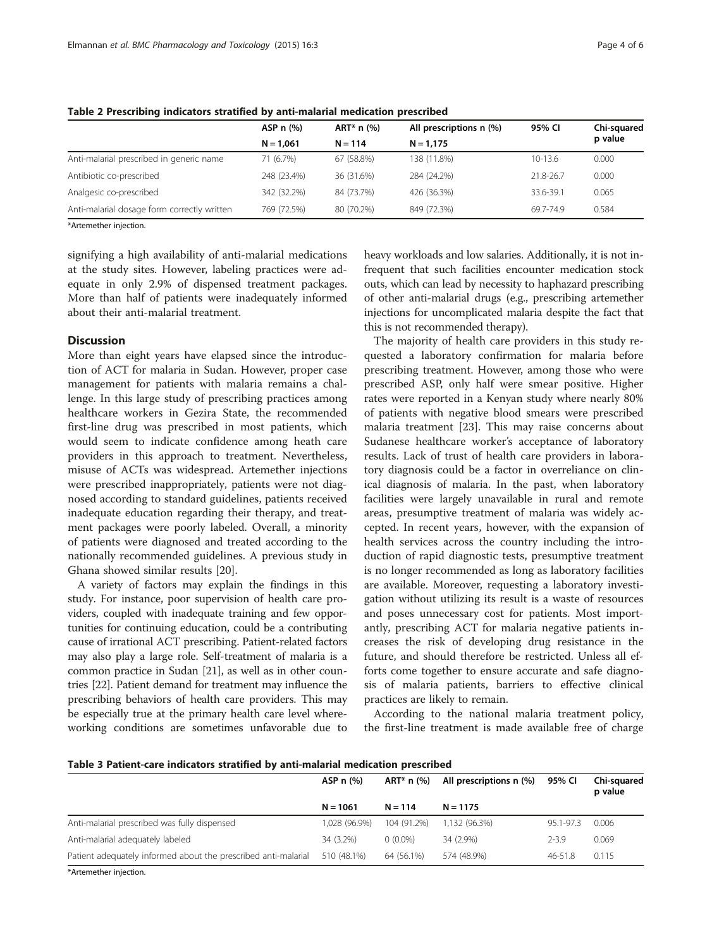|                                             | ASP $n$ $\left(\frac{9}{6}\right)$ | All prescriptions n (%)<br>$ART^* n$ (%) |             | 95% CI      | Chi-squared |
|---------------------------------------------|------------------------------------|------------------------------------------|-------------|-------------|-------------|
|                                             | $N = 1.061$                        | $N = 114$                                | $N = 1.175$ |             | p value     |
| Anti-malarial prescribed in generic name    | 71 (6.7%)                          | 67 (58.8%)                               | 138 (11.8%) | $10 - 13.6$ | 0.000       |
| Antibiotic co-prescribed                    | 248 (23.4%)                        | 36 (31.6%)                               | 284 (24.2%) | 21.8-26.7   | 0.000       |
| Analgesic co-prescribed                     | 342 (32.2%)                        | 84 (73.7%)                               | 426 (36.3%) | 33.6-39.1   | 0.065       |
| Anti-malarial dosage form correctly written | 769 (72.5%)                        | 80 (70.2%)                               | 849 (72.3%) | 69.7-74.9   | 0.584       |

<span id="page-3-0"></span>Table 2 Prescribing indicators stratified by anti-malarial medication prescribed

\*Artemether injection.

signifying a high availability of anti-malarial medications at the study sites. However, labeling practices were adequate in only 2.9% of dispensed treatment packages. More than half of patients were inadequately informed about their anti-malarial treatment.

# **Discussion**

More than eight years have elapsed since the introduction of ACT for malaria in Sudan. However, proper case management for patients with malaria remains a challenge. In this large study of prescribing practices among healthcare workers in Gezira State, the recommended first-line drug was prescribed in most patients, which would seem to indicate confidence among heath care providers in this approach to treatment. Nevertheless, misuse of ACTs was widespread. Artemether injections were prescribed inappropriately, patients were not diagnosed according to standard guidelines, patients received inadequate education regarding their therapy, and treatment packages were poorly labeled. Overall, a minority of patients were diagnosed and treated according to the nationally recommended guidelines. A previous study in Ghana showed similar results [[20](#page-5-0)].

A variety of factors may explain the findings in this study. For instance, poor supervision of health care providers, coupled with inadequate training and few opportunities for continuing education, could be a contributing cause of irrational ACT prescribing. Patient-related factors may also play a large role. Self-treatment of malaria is a common practice in Sudan [\[21\]](#page-5-0), as well as in other countries [[22](#page-5-0)]. Patient demand for treatment may influence the prescribing behaviors of health care providers. This may be especially true at the primary health care level whereworking conditions are sometimes unfavorable due to

heavy workloads and low salaries. Additionally, it is not infrequent that such facilities encounter medication stock outs, which can lead by necessity to haphazard prescribing of other anti-malarial drugs (e.g., prescribing artemether injections for uncomplicated malaria despite the fact that this is not recommended therapy).

The majority of health care providers in this study requested a laboratory confirmation for malaria before prescribing treatment. However, among those who were prescribed ASP, only half were smear positive. Higher rates were reported in a Kenyan study where nearly 80% of patients with negative blood smears were prescribed malaria treatment [\[23\]](#page-5-0). This may raise concerns about Sudanese healthcare worker's acceptance of laboratory results. Lack of trust of health care providers in laboratory diagnosis could be a factor in overreliance on clinical diagnosis of malaria. In the past, when laboratory facilities were largely unavailable in rural and remote areas, presumptive treatment of malaria was widely accepted. In recent years, however, with the expansion of health services across the country including the introduction of rapid diagnostic tests, presumptive treatment is no longer recommended as long as laboratory facilities are available. Moreover, requesting a laboratory investigation without utilizing its result is a waste of resources and poses unnecessary cost for patients. Most importantly, prescribing ACT for malaria negative patients increases the risk of developing drug resistance in the future, and should therefore be restricted. Unless all efforts come together to ensure accurate and safe diagnosis of malaria patients, barriers to effective clinical practices are likely to remain.

According to the national malaria treatment policy, the first-line treatment is made available free of charge

| Table 3 Patient-care indicators stratified by anti-malarial medication prescribed |  |  |  |  |  |
|-----------------------------------------------------------------------------------|--|--|--|--|--|
|-----------------------------------------------------------------------------------|--|--|--|--|--|

|                                                                | ASP n (%)     | ART* n (%)  | All prescriptions n (%) | 95% CI    | Chi-squared<br>p value |  |
|----------------------------------------------------------------|---------------|-------------|-------------------------|-----------|------------------------|--|
|                                                                | $N = 1061$    | $N = 114$   | $N = 1175$              |           |                        |  |
| Anti-malarial prescribed was fully dispensed                   | 1.028 (96.9%) | 104 (91.2%) | 1.132 (96.3%)           | 95.1-97.3 | 0.006                  |  |
| Anti-malarial adequately labeled                               | 34 (3.2%)     | $0(0.0\%)$  | 34 (2.9%)               | $2 - 3.9$ | 0.069                  |  |
| Patient adequately informed about the prescribed anti-malarial | 510 (48.1%)   | 64 (56.1%)  | 574 (48.9%)             | 46-51.8   | 0.115                  |  |
| <b>MA</b> decisional control of the continue                   |               |             |                         |           |                        |  |

\*Artemether injection.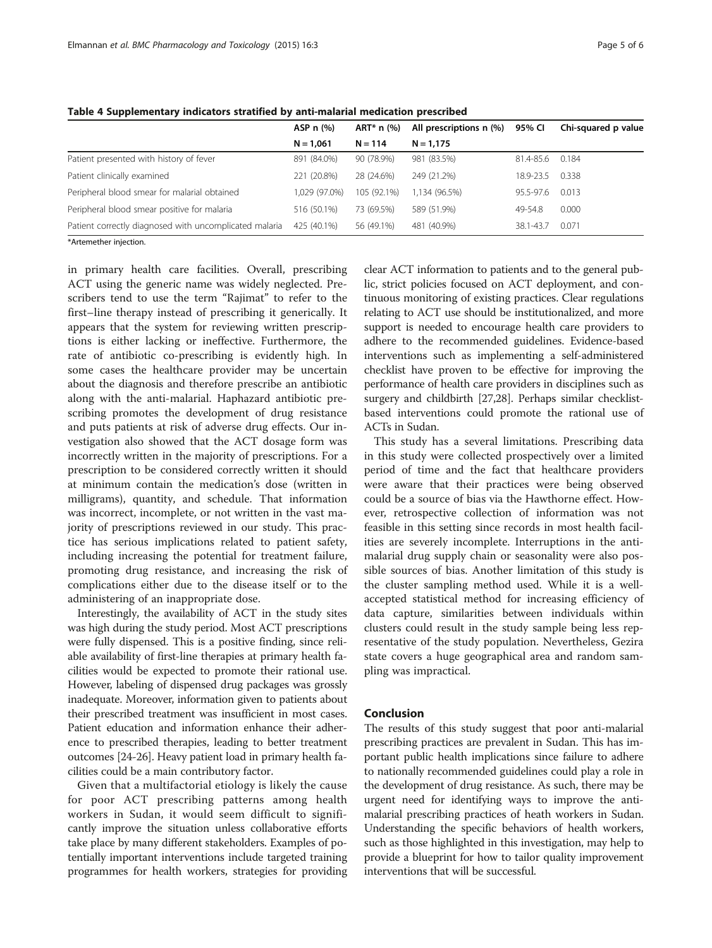|                                                        | ASP n (%)     | ART* $n$ (%) | All prescriptions n (%) | 95% CI    | Chi-squared p value |
|--------------------------------------------------------|---------------|--------------|-------------------------|-----------|---------------------|
|                                                        | $N = 1.061$   | $N = 114$    | $N = 1.175$             |           |                     |
| Patient presented with history of fever                | 891 (84.0%)   | 90 (78.9%)   | 981 (83.5%)             | 81.4-85.6 | 0.184               |
| Patient clinically examined                            | 221 (20.8%)   | 28 (24.6%)   | 249 (21.2%)             | 18.9-23.5 | 0.338               |
| Peripheral blood smear for malarial obtained           | 1.029 (97.0%) | 105 (92.1%)  | 1.134 (96.5%)           | 95.5-97.6 | 0.013               |
| Peripheral blood smear positive for malaria            | 516 (50.1%)   | 73 (69.5%)   | 589 (51.9%)             | 49-54.8   | 0.000               |
| Patient correctly diagnosed with uncomplicated malaria | 425 (40.1%)   | 56 (49.1%)   | 481 (40.9%)             | 38.1-43.7 | 0.071               |
| *Artemether injection.                                 |               |              |                         |           |                     |

<span id="page-4-0"></span>Table 4 Supplementary indicators stratified by anti-malarial medication prescribed

\*Artemether injection.

in primary health care facilities. Overall, prescribing ACT using the generic name was widely neglected. Prescribers tend to use the term "Rajimat" to refer to the first–line therapy instead of prescribing it generically. It appears that the system for reviewing written prescriptions is either lacking or ineffective. Furthermore, the rate of antibiotic co-prescribing is evidently high. In some cases the healthcare provider may be uncertain about the diagnosis and therefore prescribe an antibiotic along with the anti-malarial. Haphazard antibiotic prescribing promotes the development of drug resistance and puts patients at risk of adverse drug effects. Our investigation also showed that the ACT dosage form was incorrectly written in the majority of prescriptions. For a prescription to be considered correctly written it should at minimum contain the medication's dose (written in milligrams), quantity, and schedule. That information was incorrect, incomplete, or not written in the vast majority of prescriptions reviewed in our study. This practice has serious implications related to patient safety, including increasing the potential for treatment failure, promoting drug resistance, and increasing the risk of complications either due to the disease itself or to the administering of an inappropriate dose.

Interestingly, the availability of ACT in the study sites was high during the study period. Most ACT prescriptions were fully dispensed. This is a positive finding, since reliable availability of first-line therapies at primary health facilities would be expected to promote their rational use. However, labeling of dispensed drug packages was grossly inadequate. Moreover, information given to patients about their prescribed treatment was insufficient in most cases. Patient education and information enhance their adherence to prescribed therapies, leading to better treatment outcomes [\[24-26\]](#page-5-0). Heavy patient load in primary health facilities could be a main contributory factor.

Given that a multifactorial etiology is likely the cause for poor ACT prescribing patterns among health workers in Sudan, it would seem difficult to significantly improve the situation unless collaborative efforts take place by many different stakeholders. Examples of potentially important interventions include targeted training programmes for health workers, strategies for providing

clear ACT information to patients and to the general public, strict policies focused on ACT deployment, and continuous monitoring of existing practices. Clear regulations relating to ACT use should be institutionalized, and more support is needed to encourage health care providers to adhere to the recommended guidelines. Evidence-based interventions such as implementing a self-administered checklist have proven to be effective for improving the performance of health care providers in disciplines such as surgery and childbirth [\[27,28](#page-5-0)]. Perhaps similar checklistbased interventions could promote the rational use of ACTs in Sudan.

This study has a several limitations. Prescribing data in this study were collected prospectively over a limited period of time and the fact that healthcare providers were aware that their practices were being observed could be a source of bias via the Hawthorne effect. However, retrospective collection of information was not feasible in this setting since records in most health facilities are severely incomplete. Interruptions in the antimalarial drug supply chain or seasonality were also possible sources of bias. Another limitation of this study is the cluster sampling method used. While it is a wellaccepted statistical method for increasing efficiency of data capture, similarities between individuals within clusters could result in the study sample being less representative of the study population. Nevertheless, Gezira state covers a huge geographical area and random sampling was impractical.

### Conclusion

The results of this study suggest that poor anti-malarial prescribing practices are prevalent in Sudan. This has important public health implications since failure to adhere to nationally recommended guidelines could play a role in the development of drug resistance. As such, there may be urgent need for identifying ways to improve the antimalarial prescribing practices of heath workers in Sudan. Understanding the specific behaviors of health workers, such as those highlighted in this investigation, may help to provide a blueprint for how to tailor quality improvement interventions that will be successful.